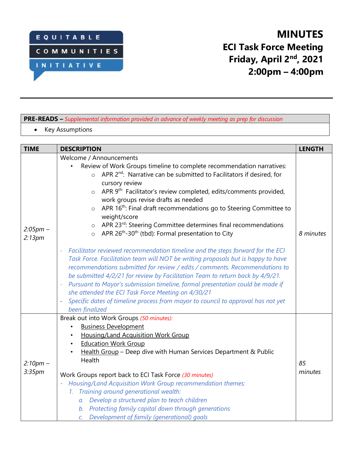

# **MINUTES ECI Task Force Meeting Friday, April 2nd , 2021 2:00pm – 4:00pm**

#### **PRE-READS –** *Supplemental information provided in advance of weekly meeting as prep for discussion*

• Key Assumptions

| <b>TIME</b>                      | <b>DESCRIPTION</b>                                                                                                                                                                                                                                                                                                                                                                                                                                                                                                                                                                                                           | <b>LENGTH</b> |
|----------------------------------|------------------------------------------------------------------------------------------------------------------------------------------------------------------------------------------------------------------------------------------------------------------------------------------------------------------------------------------------------------------------------------------------------------------------------------------------------------------------------------------------------------------------------------------------------------------------------------------------------------------------------|---------------|
| $2:05pm -$<br>2:13pm             | Welcome / Announcements<br>Review of Work Groups timeline to complete recommendation narratives:<br>APR 2 <sup>nd</sup> : Narrative can be submitted to Facilitators if desired, for<br>$\circ$<br>cursory review<br>APR 9 <sup>th:</sup> Facilitator's review completed, edits/comments provided,<br>$\circ$<br>work groups revise drafts as needed<br>APR 16 <sup>th</sup> : Final draft recommendations go to Steering Committee to<br>$\circ$<br>weight/score<br>APR 23rd: Steering Committee determines final recommendations<br>$\circ$<br>o APR 26 <sup>th</sup> -30 <sup>th</sup> (tbd): Formal presentation to City | 8 minutes     |
|                                  | Facilitator reviewed recommendation timeline and the steps forward for the ECI<br>Task Force. Facilitation team will NOT be writing proposals but is happy to have<br>recommendations submitted for review / edits / comments. Recommendations to<br>be submitted 4/2/21 for review by Facilitation Team to return back by 4/9/21.<br>Pursuant to Mayor's submission timeline, formal presentation could be made if<br>$\rightarrow$<br>she attended the ECI Task Force Meeting on 4/30/21<br>Specific dates of timeline process from mayor to council to approval has not yet<br>been finalized                             |               |
| $2:10pm -$<br>3:35 <sub>pm</sub> | Break out into Work Groups (50 minutes):<br><b>Business Development</b><br>$\bullet$<br><b>Housing/Land Acquisition Work Group</b><br><b>Education Work Group</b><br>$\bullet$<br>Health Group - Deep dive with Human Services Department & Public<br>$\bullet$<br>Health<br>Work Groups report back to ECI Task Force (30 minutes)<br>Housing/Land Acquisition Work Group recommendation themes:<br>1. Training around generational wealth:<br>a. Develop a structured plan to teach children<br>b. Protecting family capital down through generations<br>c. Development of family (generational) goals                     | 85<br>minutes |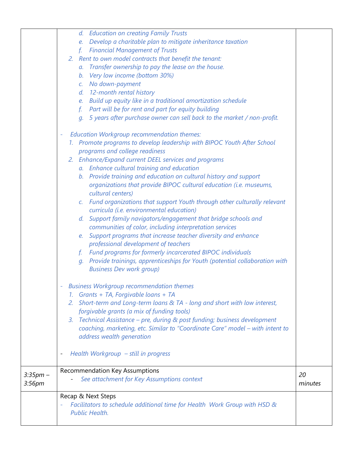|                    | d. Education on creating Family Trusts                                                     |         |
|--------------------|--------------------------------------------------------------------------------------------|---------|
|                    | Develop a charitable plan to mitigate inheritance taxation<br>e.                           |         |
|                    | <b>Financial Management of Trusts</b><br>f <sub>1</sub>                                    |         |
|                    | 2. Rent to own model contracts that benefit the tenant:                                    |         |
|                    | a. Transfer ownership to pay the lease on the house.                                       |         |
|                    | b. Very low income (bottom 30%)                                                            |         |
|                    | c. No down-payment                                                                         |         |
|                    | d. 12-month rental history                                                                 |         |
|                    | e. Build up equity like in a traditional amortization schedule                             |         |
|                    | Part will be for rent and part for equity building<br>f.                                   |         |
|                    | 5 years after purchase owner can sell back to the market / non-profit.<br>$q_{\cdot}$      |         |
|                    |                                                                                            |         |
|                    | <b>Education Workgroup recommendation themes:</b><br>۰                                     |         |
|                    | 1. Promote programs to develop leadership with BIPOC Youth After School                    |         |
|                    | programs and college readiness                                                             |         |
|                    | 2. Enhance/Expand current DEEL services and programs                                       |         |
|                    | a. Enhance cultural training and education                                                 |         |
|                    | b. Provide training and education on cultural history and support                          |         |
|                    | organizations that provide BIPOC cultural education (i.e. museums,                         |         |
|                    | cultural centers)                                                                          |         |
|                    | Fund organizations that support Youth through other culturally relevant<br>$\mathcal{C}$ . |         |
|                    | curricula (i.e. environmental education)                                                   |         |
|                    | d. Support family navigators/engagement that bridge schools and                            |         |
|                    | communities of color, including interpretation services                                    |         |
|                    | e. Support programs that increase teacher diversity and enhance                            |         |
|                    | professional development of teachers                                                       |         |
|                    | <b>Fund programs for formerly incarcerated BIPOC individuals</b><br>f.                     |         |
|                    | Provide trainings, apprenticeships for Youth (potential collaboration with<br>$q_{\cdot}$  |         |
|                    | <b>Business Dev work group)</b>                                                            |         |
|                    | <b>Business Workgroup recommendation themes</b>                                            |         |
|                    | Grants + TA, Forgivable loans + TA<br>$\mathcal{I}$ .                                      |         |
|                    | Short-term and Long-term loans & TA - long and short with low interest,<br>2.              |         |
|                    | forgivable grants (a mix of funding tools)                                                 |         |
|                    | Technical Assistance - pre, during & post funding; business development<br>3.              |         |
|                    | coaching, marketing, etc. Similar to "Coordinate Care" model - with intent to              |         |
|                    | address wealth generation                                                                  |         |
|                    |                                                                                            |         |
|                    | Health Workgroup - still in progress                                                       |         |
|                    |                                                                                            |         |
| $3:35pm -$         | <b>Recommendation Key Assumptions</b>                                                      | 20      |
| 3:56 <sub>pm</sub> | See attachment for Key Assumptions context                                                 | minutes |
|                    |                                                                                            |         |
|                    | Recap & Next Steps                                                                         |         |
|                    | Facilitators to schedule additional time for Health Work Group with HSD &                  |         |
|                    | <b>Public Health.</b>                                                                      |         |
|                    |                                                                                            |         |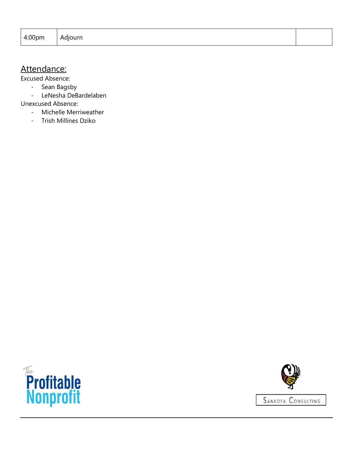| 4:00pm<br>Adjourn<br>$\cdots$ |  |
|-------------------------------|--|
|-------------------------------|--|

## Attendance:

Excused Absence:

- Sean Bagsby
- LeNesha DeBardelaben

Unexcused Absence:

- Michelle Merriweather
- Trish Millines Dziko



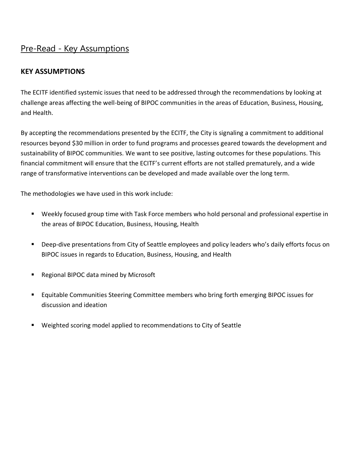### Pre-Read - Key Assumptions

#### **KEY ASSUMPTIONS**

The ECITF identified systemic issues that need to be addressed through the recommendations by looking at challenge areas affecting the well-being of BIPOC communities in the areas of Education, Business, Housing, and Health.

By accepting the recommendations presented by the ECITF, the City is signaling a commitment to additional resources beyond \$30 million in order to fund programs and processes geared towards the development and sustainability of BIPOC communities. We want to see positive, lasting outcomes for these populations. This financial commitment will ensure that the ECITF's current efforts are not stalled prematurely, and a wide range of transformative interventions can be developed and made available over the long term.

The methodologies we have used in this work include:

- Weekly focused group time with Task Force members who hold personal and professional expertise in the areas of BIPOC Education, Business, Housing, Health
- Deep-dive presentations from City of Seattle employees and policy leaders who's daily efforts focus on BIPOC issues in regards to Education, Business, Housing, and Health
- Regional BIPOC data mined by Microsoft
- Equitable Communities Steering Committee members who bring forth emerging BIPOC issues for discussion and ideation
- Weighted scoring model applied to recommendations to City of Seattle